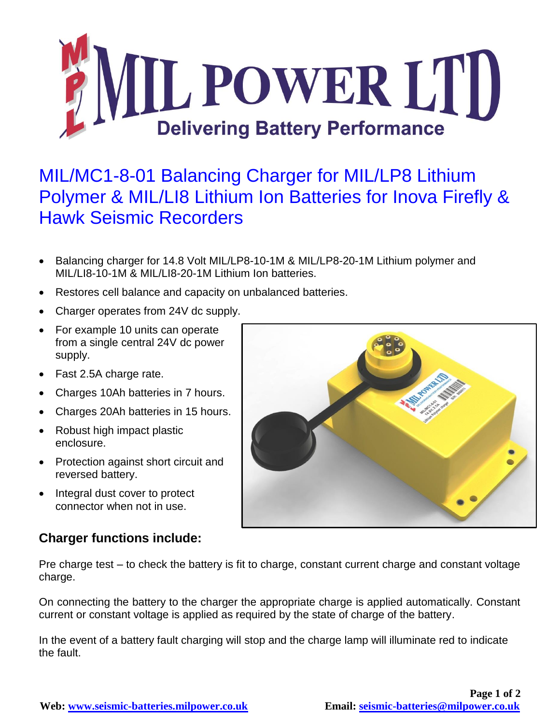

## MIL/MC1-8-01 Balancing Charger for MIL/LP8 Lithium Polymer & MIL/LI8 Lithium Ion Batteries for Inova Firefly & Hawk Seismic Recorders

- Balancing charger for 14.8 Volt MIL/LP8-10-1M & MIL/LP8-20-1M Lithium polymer and MIL/LI8-10-1M & MIL/LI8-20-1M Lithium Ion batteries.
- Restores cell balance and capacity on unbalanced batteries.
- Charger operates from 24V dc supply.
- For example 10 units can operate from a single central 24V dc power supply.
- Fast 2.5A charge rate.
- Charges 10Ah batteries in 7 hours.
- Charges 20Ah batteries in 15 hours.
- Robust high impact plastic enclosure.
- Protection against short circuit and reversed battery.
- Integral dust cover to protect connector when not in use.

## **Charger functions include:**

Pre charge test – to check the battery is fit to charge, constant current charge and constant voltage charge.

On connecting the battery to the charger the appropriate charge is applied automatically. Constant current or constant voltage is applied as required by the state of charge of the battery.

In the event of a battery fault charging will stop and the charge lamp will illuminate red to indicate the fault.